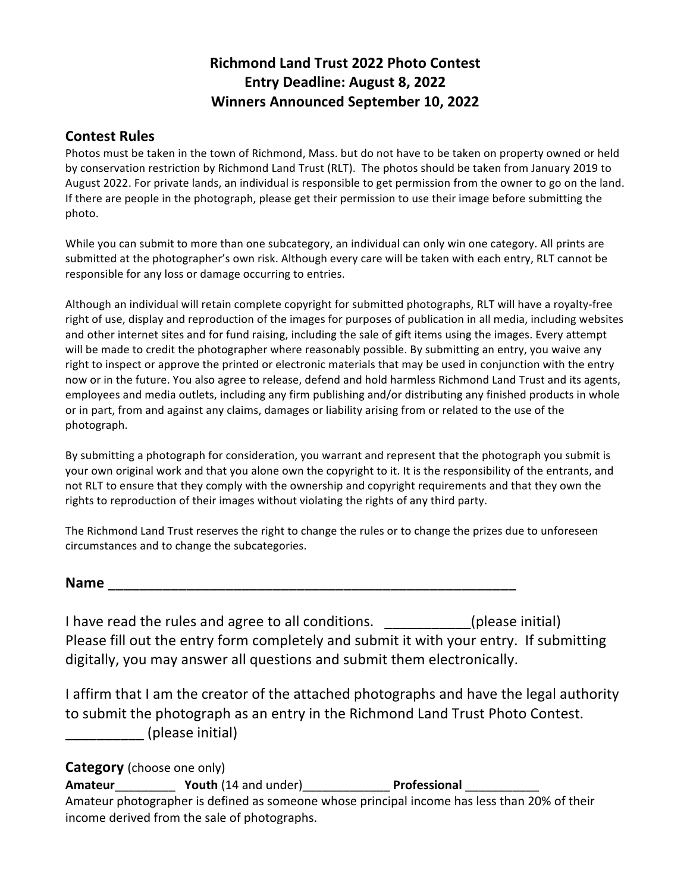# **Richmond Land Trust 2022 Photo Contest Entry Deadline: August 8, 2022 Winners Announced September 10, 2022**

### **Contest Rules**

Photos must be taken in the town of Richmond, Mass. but do not have to be taken on property owned or held by conservation restriction by Richmond Land Trust (RLT). The photos should be taken from January 2019 to August 2022. For private lands, an individual is responsible to get permission from the owner to go on the land. If there are people in the photograph, please get their permission to use their image before submitting the photo.

While you can submit to more than one subcategory, an individual can only win one category. All prints are submitted at the photographer's own risk. Although every care will be taken with each entry, RLT cannot be responsible for any loss or damage occurring to entries.

Although an individual will retain complete copyright for submitted photographs, RLT will have a royalty-free right of use, display and reproduction of the images for purposes of publication in all media, including websites and other internet sites and for fund raising, including the sale of gift items using the images. Every attempt will be made to credit the photographer where reasonably possible. By submitting an entry, you waive any right to inspect or approve the printed or electronic materials that may be used in conjunction with the entry now or in the future. You also agree to release, defend and hold harmless Richmond Land Trust and its agents, employees and media outlets, including any firm publishing and/or distributing any finished products in whole or in part, from and against any claims, damages or liability arising from or related to the use of the photograph.

By submitting a photograph for consideration, you warrant and represent that the photograph you submit is your own original work and that you alone own the copyright to it. It is the responsibility of the entrants, and not RLT to ensure that they comply with the ownership and copyright requirements and that they own the rights to reproduction of their images without violating the rights of any third party.

The Richmond Land Trust reserves the right to change the rules or to change the prizes due to unforeseen circumstances and to change the subcategories.

I have read the rules and agree to all conditions. (please initial) Please fill out the entry form completely and submit it with your entry. If submitting digitally, you may answer all questions and submit them electronically.

I affirm that I am the creator of the attached photographs and have the legal authority to submit the photograph as an entry in the Richmond Land Trust Photo Contest. (please initial)

**Category** (choose one only) Amateur **Mateur** Youth (14 and under) **Professional Professional** Amateur photographer is defined as someone whose principal income has less than 20% of their income derived from the sale of photographs.